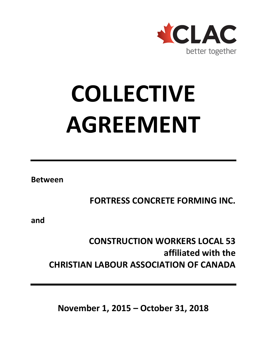

# **COLLECTIVE AGREEMENT**

**Between**

**FORTRESS CONCRETE FORMING INC.**

**and**

# **CONSTRUCTION WORKERS LOCAL 53 affiliated with the CHRISTIAN LABOUR ASSOCIATION OF CANADA**

**November 1, 2015 – October 31, 2018**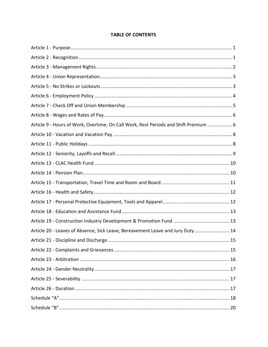| Article 9 - Hours of Work, Overtime, On Call Work, Rest Periods and Shift Premium  6 |  |
|--------------------------------------------------------------------------------------|--|
|                                                                                      |  |
|                                                                                      |  |

# **TABLE OF CONTENTS**

| Article 9 - Hours of Work, Overtime, On Call Work, Rest Periods and Shift Premium  6 |  |
|--------------------------------------------------------------------------------------|--|
|                                                                                      |  |
|                                                                                      |  |
|                                                                                      |  |
|                                                                                      |  |
|                                                                                      |  |
|                                                                                      |  |
|                                                                                      |  |
|                                                                                      |  |
|                                                                                      |  |
|                                                                                      |  |
| Article 20 - Leaves of Absence, Sick Leave, Bereavement Leave and Jury Duty 14       |  |
|                                                                                      |  |
|                                                                                      |  |
|                                                                                      |  |
|                                                                                      |  |
|                                                                                      |  |
|                                                                                      |  |
|                                                                                      |  |
|                                                                                      |  |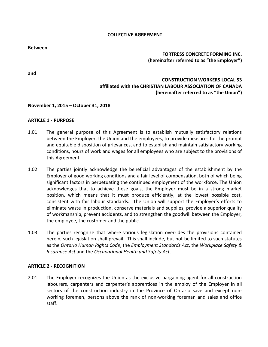#### **COLLECTIVE AGREEMENT**

**Between**

# **FORTRESS CONCRETE FORMING INC. (hereinafter referred to as "the Employer")**

**and**

# **CONSTRUCTION WORKERS LOCAL 53 affiliated with the CHRISTIAN LABOUR ASSOCIATION OF CANADA (hereinafter referred to as "the Union")**

#### <span id="page-2-0"></span>**November 1, 2015 – October 31, 2018**

#### **ARTICLE 1 - PURPOSE**

- 1.01 The general purpose of this Agreement is to establish mutually satisfactory relations between the Employer, the Union and the employees, to provide measures for the prompt and equitable disposition of grievances, and to establish and maintain satisfactory working conditions, hours of work and wages for all employees who are subject to the provisions of this Agreement.
- 1.02 The parties jointly acknowledge the beneficial advantages of the establishment by the Employer of good working conditions and a fair level of compensation, both of which being significant factors in perpetuating the continued employment of the workforce. The Union acknowledges that to achieve these goals, the Employer must be in a strong market position, which means that it must produce efficiently, at the lowest possible cost, consistent with fair labour standards. The Union will support the Employer's efforts to eliminate waste in production, conserve materials and supplies, provide a superior quality of workmanship, prevent accidents, and to strengthen the goodwill between the Employer, the employee, the customer and the public.
- 1.03 The parties recognize that where various legislation overrides the provisions contained herein, such legislation shall prevail. This shall include, but not be limited to such statutes as the *Ontario Human Rights Code*, the *Employment Standards Act*, the *Workplace Safety & Insurance Act* and the *Occupational Health and Safety Act*.

#### <span id="page-2-1"></span>**ARTICLE 2 - RECOGNITION**

2.01 The Employer recognizes the Union as the exclusive bargaining agent for all construction labourers, carpenters and carpenter's apprentices in the employ of the Employer in all sectors of the construction industry in the Province of Ontario save and except nonworking foremen, persons above the rank of non-working foreman and sales and office staff.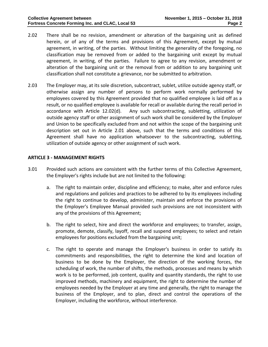- 2.02 There shall be no revision, amendment or alteration of the bargaining unit as defined herein, or of any of the terms and provisions of this Agreement, except by mutual agreement, in writing, of the parties. Without limiting the generality of the foregoing, no classification may be removed from or added to the bargaining unit except by mutual agreement, in writing, of the parties. Failure to agree to any revision, amendment or alteration of the bargaining unit or the removal from or addition to any bargaining unit classification shall not constitute a grievance, nor be submitted to arbitration.
- 2.03 The Employer may, at its sole discretion, subcontract, sublet, utilize outside agency staff, or otherwise assign any number of persons to perform work normally performed by employees covered by this Agreement provided that no qualified employee is laid off as a result, or no qualified employee is available for recall or available during the recall period in accordance with Article 12.02(d). Any such subcontracting, subletting, utilization of outside agency staff or other assignment of such work shall be considered by the Employer and Union to be specifically excluded from and not within the scope of the bargaining unit description set out in Article 2.01 above, such that the terms and conditions of this Agreement shall have no application whatsoever to the subcontracting, subletting, utilization of outside agency or other assignment of such work.

# <span id="page-3-0"></span>**ARTICLE 3 - MANAGEMENT RIGHTS**

- 3.01 Provided such actions are consistent with the further terms of this Collective Agreement, the Employer's rights include but are not limited to the following:
	- a. The right to maintain order, discipline and efficiency; to make, alter and enforce rules and regulations and policies and practices to be adhered to by its employees including the right to continue to develop, administer, maintain and enforce the provisions of the Employer's Employee Manual provided such provisions are not inconsistent with any of the provisions of this Agreement;
	- b. The right to select, hire and direct the workforce and employees; to transfer, assign, promote, demote, classify, layoff, recall and suspend employees; to select and retain employees for positions excluded from the bargaining unit;
	- c. The right to operate and manage the Employer's business in order to satisfy its commitments and responsibilities, the right to determine the kind and location of business to be done by the Employer, the direction of the working forces, the scheduling of work, the number of shifts, the methods, processes and means by which work is to be performed, job content, quality and quantity standards, the right to use improved methods, machinery and equipment, the right to determine the number of employees needed by the Employer at any time and generally, the right to manage the business of the Employer, and to plan, direct and control the operations of the Employer, including the workforce, without interference.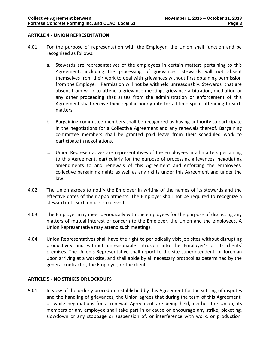#### <span id="page-4-0"></span>**ARTICLE 4 - UNION REPRESENTATION**

- 4.01 For the purpose of representation with the Employer, the Union shall function and be recognized as follows:
	- a. Stewards are representatives of the employees in certain matters pertaining to this Agreement, including the processing of grievances. Stewards will not absent themselves from their work to deal with grievances without first obtaining permission from the Employer. Permission will not be withheld unreasonably. Stewards that are absent from work to attend a grievance meeting, grievance arbitration, mediation or any other proceeding that arises from the administration or enforcement of this Agreement shall receive their regular hourly rate for all time spent attending to such matters.
	- b. Bargaining committee members shall be recognized as having authority to participate in the negotiations for a Collective Agreement and any renewals thereof. Bargaining committee members shall be granted paid leave from their scheduled work to participate in negotiations.
	- c. Union Representatives are representatives of the employees in all matters pertaining to this Agreement, particularly for the purpose of processing grievances, negotiating amendments to and renewals of this Agreement and enforcing the employees' collective bargaining rights as well as any rights under this Agreement and under the law.
- 4.02 The Union agrees to notify the Employer in writing of the names of its stewards and the effective dates of their appointments. The Employer shall not be required to recognize a steward until such notice is received.
- 4.03 The Employer may meet periodically with the employees for the purpose of discussing any matters of mutual interest or concern to the Employer, the Union and the employees. A Union Representative may attend such meetings.
- 4.04 Union Representatives shall have the right to periodically visit job sites without disrupting productivity and without unreasonable intrusion into the Employer's or its clients' premises. The Union's Representative shall report to the site superintendent, or foreman upon arriving at a worksite, and shall abide by all necessary protocol as determined by the general contractor, the Employer, or the client.

# <span id="page-4-1"></span>**ARTICLE 5 - NO STRIKES OR LOCKOUTS**

5.01 In view of the orderly procedure established by this Agreement for the settling of disputes and the handling of grievances, the Union agrees that during the term of this Agreement, or while negotiations for a renewal Agreement are being held, neither the Union, its members or any employee shall take part in or cause or encourage any strike, picketing, slowdown or any stoppage or suspension of, or interference with work, or production,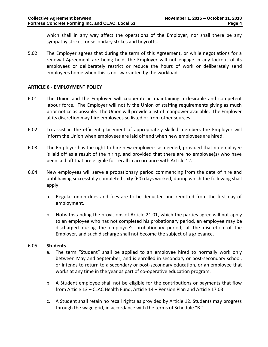which shall in any way affect the operations of the Employer, nor shall there be any sympathy strikes, or secondary strikes and boycotts.

5.02 The Employer agrees that during the term of this Agreement, or while negotiations for a renewal Agreement are being held, the Employer will not engage in any lockout of its employees or deliberately restrict or reduce the hours of work or deliberately send employees home when this is not warranted by the workload.

# <span id="page-5-0"></span>**ARTICLE 6 - EMPLOYMENT POLICY**

- 6.01 The Union and the Employer will cooperate in maintaining a desirable and competent labour force. The Employer will notify the Union of staffing requirements giving as much prior notice as possible. The Union will provide a list of manpower available. The Employer at its discretion may hire employees so listed or from other sources.
- 6.02 To assist in the efficient placement of appropriately skilled members the Employer will inform the Union when employees are laid off and when new employees are hired.
- 6.03 The Employer has the right to hire new employees as needed, provided that no employee is laid off as a result of the hiring, and provided that there are no employee(s) who have been laid off that are eligible for recall in accordance with Article 12.
- 6.04 New employees will serve a probationary period commencing from the date of hire and until having successfully completed sixty (60) days worked, during which the following shall apply:
	- a. Regular union dues and fees are to be deducted and remitted from the first day of employment.
	- b. Notwithstanding the provisions of Article 21.01, which the parties agree will not apply to an employee who has not completed his probationary period, an employee may be discharged during the employee's probationary period, at the discretion of the Employer, and such discharge shall not become the subject of a grievance.

# 6.05 **Students**

- a. The term "Student" shall be applied to an employee hired to normally work only between May and September, and is enrolled in secondary or post-secondary school, or intends to return to a secondary or post-secondary education, or an employee that works at any time in the year as part of co-operative education program.
- b. A Student employee shall not be eligible for the contributions or payments that flow from Article 13 – CLAC Health Fund, Article 14 – Pension Plan and Article 17.03.
- c. A Student shall retain no recall rights as provided by Article 12. Students may progress through the wage grid, in accordance with the terms of Schedule "B."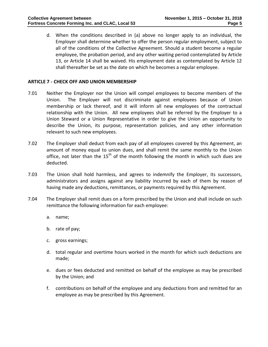d. When the conditions described in (a) above no longer apply to an individual, the Employer shall determine whether to offer the person regular employment, subject to all of the conditions of the Collective Agreement. Should a student become a regular employee, the probation period, and any other waiting period contemplated by Article 13, or Article 14 shall be waived. His employment date as contemplated by Article 12 shall thereafter be set as the date on which he becomes a regular employee.

# <span id="page-6-0"></span>**ARTICLE 7 - CHECK OFF AND UNION MEMBERSHIP**

- 7.01 Neither the Employer nor the Union will compel employees to become members of the Union. The Employer will not discriminate against employees because of Union membership or lack thereof, and it will inform all new employees of the contractual relationship with the Union. All new employees shall be referred by the Employer to a Union Steward or a Union Representative in order to give the Union an opportunity to describe the Union, its purpose, representation policies, and any other information relevant to such new employees.
- 7.02 The Employer shall deduct from each pay of all employees covered by this Agreement, an amount of money equal to union dues, and shall remit the same monthly to the Union office, not later than the  $15<sup>th</sup>$  of the month following the month in which such dues are deducted.
- 7.03 The Union shall hold harmless, and agrees to indemnify the Employer, its successors, administrators and assigns against any liability incurred by each of them by reason of having made any deductions, remittances, or payments required by this Agreement.
- 7.04 The Employer shall remit dues on a form prescribed by the Union and shall include on such remittance the following information for each employee:
	- a. name;
	- b. rate of pay;
	- c. gross earnings;
	- d. total regular and overtime hours worked in the month for which such deductions are made;
	- e. dues or fees deducted and remitted on behalf of the employee as may be prescribed by the Union; and
	- f. contributions on behalf of the employee and any deductions from and remitted for an employee as may be prescribed by this Agreement.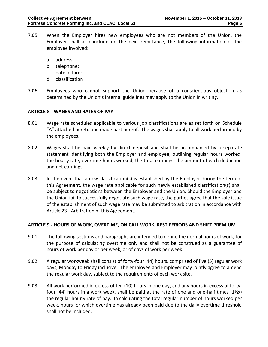- 7.05 When the Employer hires new employees who are not members of the Union, the Employer shall also include on the next remittance, the following information of the employee involved:
	- a. address;
	- b. telephone;
	- c. date of hire;
	- d. classification
- 7.06 Employees who cannot support the Union because of a conscientious objection as determined by the Union's internal guidelines may apply to the Union in writing.

# <span id="page-7-0"></span>**ARTICLE 8 - WAGES AND RATES OF PAY**

- 8.01 Wage rate schedules applicable to various job classifications are as set forth on Schedule "A" attached hereto and made part hereof. The wages shall apply to all work performed by the employees.
- 8.02 Wages shall be paid weekly by direct deposit and shall be accompanied by a separate statement identifying both the Employer and employee, outlining regular hours worked, the hourly rate, overtime hours worked, the total earnings, the amount of each deduction and net earnings.
- 8.03 In the event that a new classification(s) is established by the Employer during the term of this Agreement, the wage rate applicable for such newly established classification(s) shall be subject to negotiations between the Employer and the Union. Should the Employer and the Union fail to successfully negotiate such wage rate, the parties agree that the sole issue of the establishment of such wage rate may be submitted to arbitration in accordance with Article 23 - Arbitration of this Agreement.

# <span id="page-7-1"></span>**ARTICLE 9 - HOURS OF WORK, OVERTIME, ON CALL WORK, REST PERIODS AND SHIFT PREMIUM**

- 9.01 The following sections and paragraphs are intended to define the normal hours of work, for the purpose of calculating overtime only and shall not be construed as a guarantee of hours of work per day or per week, or of days of work per week.
- 9.02 A regular workweek shall consist of forty-four (44) hours, comprised of five (5) regular work days, Monday to Friday inclusive. The employee and Employer may jointly agree to amend the regular work day, subject to the requirements of each work site.
- 9.03 All work performed in excess of ten (10) hours in one day, and any hours in excess of fortyfour (44) hours in a work week, shall be paid at the rate of one and one-half times (1½x) the regular hourly rate of pay. In calculating the total regular number of hours worked per week, hours for which overtime has already been paid due to the daily overtime threshold shall not be included.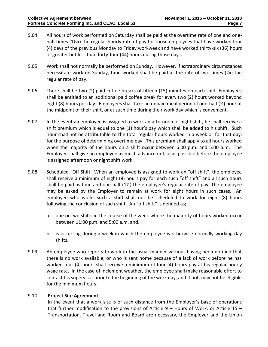- 9.04 All hours of work performed on Saturday shall be paid at the overtime rate of one and onehalf times (1½x) the regular hourly rate of pay for those employees that have worked four (4) days of the previous Monday to Friday workweek and have worked thirty-six (36) hours or greater but less than forty-four (44) hours during those days.
- 9.05 Work shall not normally be performed on Sunday. However, if extraordinary circumstances necessitate work on Sunday, time worked shall be paid at the rate of two times (2x) the regular rate of pay.
- 9.06 There shall be two (2) paid coffee breaks of fifteen (15) minutes on each shift. Employees shall be entitled to an additional paid coffee break for every two (2) hours worked beyond eight (8) hours per day. Employees shall take an unpaid meal period of one-half (½) hour at the midpoint of their shift, or at such time during their work day which is convenient.
- 9.07 In the event an employee is assigned to work an afternoon or night shift, he shall receive a shift premium which is equal to one (1) hour's pay which shall be added to his shift. Such hour shall not be attributable to the total regular hours worked in a week or for that day, for the purpose of determining overtime pay. This premium shall apply to all hours worked when the majority of the hours on a shift occur between 6:00 p.m. and 5:00 a.m. The Employer shall give an employee as much advance notice as possible before the employee is assigned afternoon or night shift work.
- 9.08 Scheduled "Off Shift" When an employee is assigned to work an "off shift", the employee shall receive a minimum of eight (8) hours pay for each such "off shift" and all such hours shall be paid as time and one-half  $(1/2)$  the employee's regular rate of pay. The employee may be asked by the Employer to remain at work for eight hours in such cases. An employee who works such a shift shall not be scheduled to work for eight (8) hours following the conclusion of such shift. An "off shift" is defined as;
	- a. one or two shifts in the course of the week where the majority of hours worked occur between 11:00 p.m. and 5:00 a.m. and,
	- b. is occurring during a week in which the employee is otherwise normally working day shifts.
- 9.09 An employee who reports to work in the usual manner without having been notified that there is no work available, or who is sent home because of a lack of work before he has worked four (4) hours shall receive a minimum of four (4) hours pay at his regular hourly wage rate. In the case of inclement weather, the employee shall make reasonable effort to contact his supervisor prior to the beginning of the work day, and if not, may not be eligible for the minimum hours.

# 9.10 **Project Site Agreement**

In the event that a work site is of such distance from the Employer's base of operations that further modification to the provisions of Article  $9 -$  Hours of Work, or Article 15 – Transportation, Travel and Room and Board are necessary, the Employer and the Union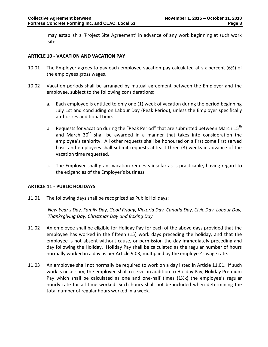may establish a 'Project Site Agreement' in advance of any work beginning at such work site.

# <span id="page-9-0"></span>**ARTICLE 10 - VACATION AND VACATION PAY**

- 10.01 The Employer agrees to pay each employee vacation pay calculated at six percent (6%) of the employees gross wages.
- 10.02 Vacation periods shall be arranged by mutual agreement between the Employer and the employee, subject to the following considerations;
	- a. Each employee is entitled to only one (1) week of vacation during the period beginning July 1st and concluding on Labour Day (Peak Period), unless the Employer specifically authorizes additional time.
	- b. Requests for vacation during the "Peak Period" that are submitted between March  $15^{th}$ and March  $30<sup>th</sup>$  shall be awarded in a manner that takes into consideration the employee's seniority. All other requests shall be honoured on a first come first served basis and employees shall submit requests at least three (3) weeks in advance of the vacation time requested.
	- c. The Employer shall grant vacation requests insofar as is practicable, having regard to the exigencies of the Employer's business.

# <span id="page-9-1"></span>**ARTICLE 11 - PUBLIC HOLIDAYS**

11.01 The following days shall be recognized as Public Holidays:

*New Year's Day, Family Day, Good Friday, Victoria Day, Canada Day, Civic Day, Labour Day, Thanksgiving Day, Christmas Day and Boxing Day*

- 11.02 An employee shall be eligible for Holiday Pay for each of the above days provided that the employee has worked in the fifteen (15) work days preceding the holiday, and that the employee is not absent without cause, or permission the day immediately preceding and day following the Holiday. Holiday Pay shall be calculated as the regular number of hours normally worked in a day as per Article 9.03, multiplied by the employee's wage rate.
- 11.03 An employee shall not normally be required to work on a day listed in Article 11.01. If such work is necessary, the employee shall receive, in addition to Holiday Pay, Holiday Premium Pay which shall be calculated as one and one-half times (1½x) the employee's regular hourly rate for all time worked. Such hours shall not be included when determining the total number of regular hours worked in a week.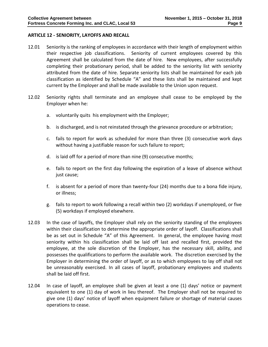#### <span id="page-10-0"></span>**ARTICLE 12 - SENIORITY, LAYOFFS AND RECALL**

- 12.01 Seniority is the ranking of employees in accordance with their length of employment within their respective job classifications. Seniority of current employees covered by this Agreement shall be calculated from the date of hire. New employees, after successfully completing their probationary period, shall be added to the seniority list with seniority attributed from the date of hire. Separate seniority lists shall be maintained for each job classification as identified by Schedule "A" and these lists shall be maintained and kept current by the Employer and shall be made available to the Union upon request.
- 12.02 Seniority rights shall terminate and an employee shall cease to be employed by the Employer when he:
	- a. voluntarily quits his employment with the Employer;
	- b. is discharged, and is not reinstated through the grievance procedure or arbitration;
	- c. fails to report for work as scheduled for more than three (3) consecutive work days without having a justifiable reason for such failure to report;
	- d. is laid off for a period of more than nine (9) consecutive months;
	- e. fails to report on the first day following the expiration of a leave of absence without just cause;
	- f. is absent for a period of more than twenty-four (24) months due to a bona fide injury, or illness;
	- g. fails to report to work following a recall within two (2) workdays if unemployed, or five (5) workdays if employed elsewhere.
- 12.03 In the case of layoffs, the Employer shall rely on the seniority standing of the employees within their classification to determine the appropriate order of layoff. Classifications shall be as set out in Schedule "A" of this Agreement. In general, the employee having most seniority within his classification shall be laid off last and recalled first, provided the employee, at the sole discretion of the Employer, has the necessary skill, ability, and possesses the qualifications to perform the available work. The discretion exercised by the Employer in determining the order of layoff, or as to which employees to lay off shall not be unreasonably exercised. In all cases of layoff, probationary employees and students shall be laid off first.
- 12.04 In case of layoff, an employee shall be given at least a one (1) days' notice or payment equivalent to one (1) day of work in lieu thereof. The Employer shall not be required to give one (1) days' notice of layoff when equipment failure or shortage of material causes operations to cease.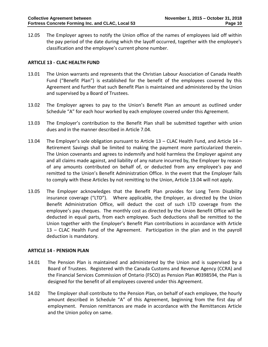12.05 The Employer agrees to notify the Union office of the names of employees laid off within the pay period of the date during which the layoff occurred, together with the employee's classification and the employee's current phone number.

# <span id="page-11-0"></span>**ARTICLE 13 - CLAC HEALTH FUND**

- 13.01 The Union warrants and represents that the Christian Labour Association of Canada Health Fund ("Benefit Plan") is established for the benefit of the employees covered by this Agreement and further that such Benefit Plan is maintained and administered by the Union and supervised by a Board of Trustees.
- 13.02 The Employer agrees to pay to the Union's Benefit Plan an amount as outlined under Schedule "A" for each hour worked by each employee covered under this Agreement.
- 13.03 The Employer's contribution to the Benefit Plan shall be submitted together with union dues and in the manner described in Article 7.04.
- 13.04 The Employer's sole obligation pursuant to Article 13 CLAC Health Fund, and Article 14 Retirement Savings shall be limited to making the payment more particularized therein. The Union covenants and agrees to indemnify and hold harmless the Employer against any and all claims made against, and liability of any nature incurred by, the Employer by reason of any amounts contributed on behalf of, or deducted from any employee's pay and remitted to the Union's Benefit Administration Office. In the event that the Employer fails to comply with these Articles by not remitting to the Union, Article 13.04 will not apply.
- 13.05 The Employer acknowledges that the Benefit Plan provides for Long Term Disability insurance coverage ("LTD"). Where applicable, the Employer, as directed by the Union Benefit Administration Office, will deduct the cost of such LTD coverage from the employee's pay cheques. The monthly cost as directed by the Union Benefit Office will be deducted in equal parts, from each employee. Such deductions shall be remitted to the Union together with the Employer's Benefit Plan contributions in accordance with Article 13 – CLAC Health Fund of the Agreement. Participation in the plan and in the payroll deduction is mandatory.

# <span id="page-11-1"></span>**ARTICLE 14 - PENSION PLAN**

- 14.01 The Pension Plan is maintained and administered by the Union and is supervised by a Board of Trustees. Registered with the Canada Customs and Revenue Agency (CCRA) and the Financial Services Commission of Ontario (FSCO) as Pension Plan #0398594, the Plan is designed for the benefit of all employees covered under this Agreement.
- 14.02 The Employer shall contribute to the Pension Plan, on behalf of each employee, the hourly amount described in Schedule "A" of this Agreement, beginning from the first day of employment. Pension remittances are made in accordance with the Remittances Article and the Union policy on same.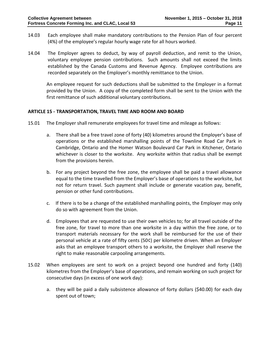- 14.03 Each employee shall make mandatory contributions to the Pension Plan of four percent (4%) of the employee's regular hourly wage rate for all hours worked.
- 14.04 The Employer agrees to deduct, by way of payroll deduction, and remit to the Union, voluntary employee pension contributions. Such amounts shall not exceed the limits established by the Canada Customs and Revenue Agency. Employee contributions are recorded separately on the Employer's monthly remittance to the Union.

An employee request for such deductions shall be submitted to the Employer in a format provided by the Union. A copy of the completed form shall be sent to the Union with the first remittance of such additional voluntary contributions.

# <span id="page-12-0"></span>**ARTICLE 15 - TRANSPORTATION, TRAVEL TIME AND ROOM AND BOARD**

- 15.01 The Employer shall remunerate employees for travel time and mileage as follows:
	- a. There shall be a free travel zone of forty (40) kilometres around the Employer's base of operations or the established marshalling points of the Townline Road Car Park in Cambridge, Ontario and the Homer Watson Boulevard Car Park in Kitchener, Ontario whichever is closer to the worksite. Any worksite within that radius shall be exempt from the provisions herein.
	- b. For any project beyond the free zone, the employee shall be paid a travel allowance equal to the time travelled from the Employer's base of operations to the worksite, but not for return travel. Such payment shall include or generate vacation pay, benefit, pension or other fund contributions.
	- c. If there is to be a change of the established marshalling points, the Employer may only do so with agreement from the Union.
	- d. Employees that are requested to use their own vehicles to; for all travel outside of the free zone, for travel to more than one worksite in a day within the free zone, or to transport materials necessary for the work shall be reimbursed for the use of their personal vehicle at a rate of fifty cents (50¢) per kilometre driven. When an Employer asks that an employee transport others to a worksite, the Employer shall reserve the right to make reasonable carpooling arrangements.
- 15.02 When employees are sent to work on a project beyond one hundred and forty (140) kilometres from the Employer's base of operations, and remain working on such project for consecutive days (in excess of one work day):
	- a. they will be paid a daily subsistence allowance of forty dollars (\$40.00) for each day spent out of town;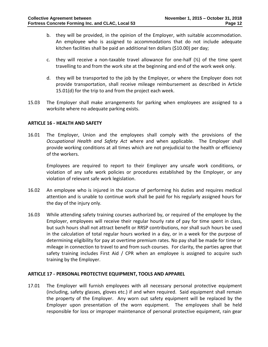- b. they will be provided, in the opinion of the Employer, with suitable accommodation. An employee who is assigned to accommodations that do not include adequate kitchen facilities shall be paid an additional ten dollars (\$10.00) per day;
- c. they will receive a non-taxable travel allowance for one-half  $(\frac{1}{2})$  of the time spent travelling to and from the work site at the beginning and end of the work week only.
- d. they will be transported to the job by the Employer, or where the Employer does not provide transportation, shall receive mileage reimbursement as described in Article 15.01(d) for the trip to and from the project each week.
- 15.03 The Employer shall make arrangements for parking when employees are assigned to a worksite where no adequate parking exists.

# <span id="page-13-0"></span>**ARTICLE 16 - HEALTH AND SAFETY**

16.01 The Employer, Union and the employees shall comply with the provisions of the *Occupational Health and Safety Act* where and when applicable. The Employer shall provide working conditions at all times which are not prejudicial to the health or efficiency of the workers.

Employees are required to report to their Employer any unsafe work conditions, or violation of any safe work policies or procedures established by the Employer, or any violation of relevant safe work legislation.

- 16.02 An employee who is injured in the course of performing his duties and requires medical attention and is unable to continue work shall be paid for his regularly assigned hours for the day of the injury only.
- 16.03 While attending safety training courses authorized by, or required of the employee by the Employer, employees will receive their regular hourly rate of pay for time spent in class, but such hours shall not attract benefit or RRSP contributions, nor shall such hours be used in the calculation of total regular hours worked in a day, or in a week for the purpose of determining eligibility for pay at overtime premium rates. No pay shall be made for time or mileage in connection to travel to and from such courses. For clarity, the parties agree that safety training includes First Aid / CPR when an employee is assigned to acquire such training by the Employer.

# <span id="page-13-1"></span>**ARTICLE 17 - PERSONAL PROTECTIVE EQUIPMENT, TOOLS AND APPAREL**

17.01 The Employer will furnish employees with all necessary personal protective equipment (including, safety glasses, gloves etc.) if and when required. Said equipment shall remain the property of the Employer. Any worn out safety equipment will be replaced by the Employer upon presentation of the worn equipment. The employees shall be held responsible for loss or improper maintenance of personal protective equipment, rain gear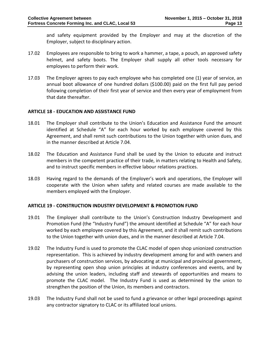and safety equipment provided by the Employer and may at the discretion of the Employer, subject to disciplinary action.

- 17.02 Employees are responsible to bring to work a hammer, a tape, a pouch, an approved safety helmet, and safety boots. The Employer shall supply all other tools necessary for employees to perform their work.
- 17.03 The Employer agrees to pay each employee who has completed one (1) year of service, an annual boot allowance of one hundred dollars (\$100.00) paid on the first full pay period following completion of their first year of service and then every year of employment from that date thereafter.

#### <span id="page-14-0"></span>**ARTICLE 18 - EDUCATION AND ASSISTANCE FUND**

- 18.01 The Employer shall contribute to the Union's Education and Assistance Fund the amount identified at Schedule "A" for each hour worked by each employee covered by this Agreement, and shall remit such contributions to the Union together with union dues, and in the manner described at Article 7.04.
- 18.02 The Education and Assistance Fund shall be used by the Union to educate and instruct members in the competent practice of their trade, in matters relating to Health and Safety, and to instruct specific members in effective labour relations practices.
- 18.03 Having regard to the demands of the Employer's work and operations, the Employer will cooperate with the Union when safety and related courses are made available to the members employed with the Employer.

# <span id="page-14-1"></span>**ARTICLE 19 - CONSTRUCTION INDUSTRY DEVELOPMENT & PROMOTION FUND**

- 19.01 The Employer shall contribute to the Union's Construction Industry Development and Promotion Fund (the "Industry Fund") the amount identified at Schedule "A" for each hour worked by each employee covered by this Agreement, and it shall remit such contributions to the Union together with union dues, and in the manner described at Article 7.04.
- 19.02 The Industry Fund is used to promote the CLAC model of open shop unionized construction representation. This is achieved by industry development among for and with owners and purchasers of construction services, by advocating at municipal and provincial government, by representing open shop union principles at industry conferences and events, and by advising the union leaders, including staff and stewards of opportunities and means to promote the CLAC model. The Industry Fund is used as determined by the union to strengthen the position of the Union, its members and contractors.
- 19.03 The Industry Fund shall not be used to fund a grievance or other legal proceedings against any contractor signatory to CLAC or its affiliated local unions.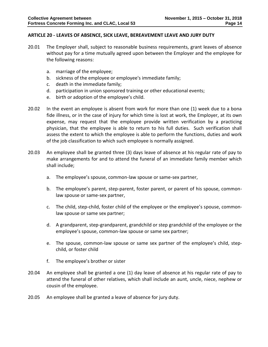#### <span id="page-15-0"></span>**ARTICLE 20 - LEAVES OF ABSENCE, SICK LEAVE, BEREAVEMENT LEAVE AND JURY DUTY**

- 20.01 The Employer shall, subject to reasonable business requirements, grant leaves of absence without pay for a time mutually agreed upon between the Employer and the employee for the following reasons:
	- a. marriage of the employee;
	- b. sickness of the employee or employee's immediate family;
	- c. death in the immediate family;
	- d. participation in union sponsored training or other educational events;
	- e. birth or adoption of the employee's child.
- 20.02 In the event an employee is absent from work for more than one (1) week due to a bona fide illness, or in the case of injury for which time is lost at work, the Employer, at its own expense, may request that the employee provide written verification by a practicing physician, that the employee is able to return to his full duties. Such verification shall assess the extent to which the employee is able to perform the functions, duties and work of the job classification to which such employee is normally assigned.
- 20.03 An employee shall be granted three (3) days leave of absence at his regular rate of pay to make arrangements for and to attend the funeral of an immediate family member which shall include;
	- a. The employee's spouse, common-law spouse or same-sex partner,
	- b. The employee's parent, step-parent, foster parent, or parent of his spouse, commonlaw spouse or same-sex partner,
	- c. The child, step-child, foster child of the employee or the employee's spouse, commonlaw spouse or same sex partner;
	- d. A grandparent, step-grandparent, grandchild or step grandchild of the employee or the employee's spouse, common-law spouse or same sex partner;
	- e. The spouse, common-law spouse or same sex partner of the employee's child, stepchild, or foster child
	- f. The employee's brother or sister
- 20.04 An employee shall be granted a one (1) day leave of absence at his regular rate of pay to attend the funeral of other relatives, which shall include an aunt, uncle, niece, nephew or cousin of the employee.
- 20.05 An employee shall be granted a leave of absence for jury duty.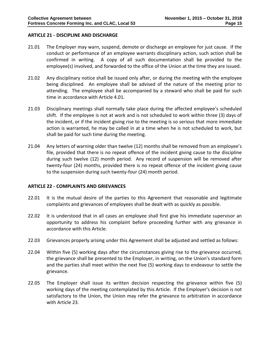#### <span id="page-16-0"></span>**ARTICLE 21 - DISCIPLINE AND DISCHARGE**

- 21.01 The Employer may warn, suspend, demote or discharge an employee for just cause. If the conduct or performance of an employee warrants disciplinary action, such action shall be confirmed in writing. A copy of all such documentation shall be provided to the employee(s) involved, and forwarded to the office of the Union at the time they are issued.
- 21.02 Any disciplinary notice shall be issued only after, or during the meeting with the employee being disciplined. An employee shall be advised of the nature of the meeting prior to attending. The employee shall be accompanied by a steward who shall be paid for such time in accordance with Article 4.01.
- 21.03 Disciplinary meetings shall normally take place during the affected employee's scheduled shift. If the employee is not at work and is not scheduled to work within three (3) days of the incident, or if the incident giving rise to the meeting is so serious that more immediate action is warranted, he may be called in at a time when he is not scheduled to work, but shall be paid for such time during the meeting.
- 21.04 Any letters of warning older than twelve (12) months shall be removed from an employee's file, provided that there is no repeat offence of the incident giving cause to the discipline during such twelve (12) month period. Any record of suspension will be removed after twenty-four (24) months, provided there is no repeat offence of the incident giving cause to the suspension during such twenty-four (24) month period.

# <span id="page-16-1"></span>**ARTICLE 22 - COMPLAINTS AND GRIEVANCES**

- 22.01 It is the mutual desire of the parties to this Agreement that reasonable and legitimate complaints and grievances of employees shall be dealt with as quickly as possible.
- 22.02 It is understood that in all cases an employee shall first give his immediate supervisor an opportunity to address his complaint before proceeding further with any grievance in accordance with this Article.
- 22.03 Grievances properly arising under this Agreement shall be adjusted and settled as follows:
- 22.04 Within five (5) working days after the circumstances giving rise to the grievance occurred, the grievance shall be presented to the Employer, in writing, on the Union's standard form and the parties shall meet within the next five (5) working days to endeavour to settle the grievance.
- 22.05 The Employer shall issue its written decision respecting the grievance within five (5) working days of the meeting contemplated by this Article. If the Employer's decision is not satisfactory to the Union, the Union may refer the grievance to arbitration in accordance with Article 23.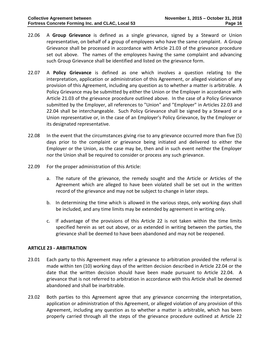- 22.06 A **Group Grievance** is defined as a single grievance, signed by a Steward or Union representative, on behalf of a group of employees who have the same complaint. A Group Grievance shall be processed in accordance with Article 21.03 of the grievance procedure set out above. The names of the employees having the same complaint and advancing such Group Grievance shall be identified and listed on the grievance form.
- 22.07 A **Policy Grievance** is defined as one which involves a question relating to the interpretation, application or administration of this Agreement, or alleged violation of any provision of this Agreement, including any question as to whether a matter is arbitrable. A Policy Grievance may be submitted by either the Union or the Employer in accordance with Article 21.03 of the grievance procedure outlined above. In the case of a Policy Grievance submitted by the Employer, all references to "Union" and "Employer" in Articles 22.03 and 22.04 shall be interchangeable. Such Policy Grievance shall be signed by a Steward or a Union representative or, in the case of an Employer's Policy Grievance, by the Employer or its designated representative.
- 22.08 In the event that the circumstances giving rise to any grievance occurred more than five (5) days prior to the complaint or grievance being initiated and delivered to either the Employer or the Union, as the case may be, then and in such event neither the Employer nor the Union shall be required to consider or process any such grievance.
- 22.09 For the proper administration of this Article:
	- a. The nature of the grievance, the remedy sought and the Article or Articles of the Agreement which are alleged to have been violated shall be set out in the written record of the grievance and may not be subject to change in later steps.
	- b. In determining the time which is allowed in the various steps, only working days shall be included, and any time limits may be extended by agreement in writing only.
	- c. If advantage of the provisions of this Article 22 is not taken within the time limits specified herein as set out above, or as extended in writing between the parties, the grievance shall be deemed to have been abandoned and may not be reopened.

# <span id="page-17-0"></span>**ARTICLE 23 - ARBITRATION**

- 23.01 Each party to this Agreement may refer a grievance to arbitration provided the referral is made within ten (10) working days of the written decision described in Article 22.04 or the date that the written decision should have been made pursuant to Article 22.04. A grievance that is not referred to arbitration in accordance with this Article shall be deemed abandoned and shall be inarbitrable.
- 23.02 Both parties to this Agreement agree that any grievance concerning the interpretation, application or administration of this Agreement, or alleged violation of any provision of this Agreement, including any question as to whether a matter is arbitrable, which has been properly carried through all the steps of the grievance procedure outlined at Article 22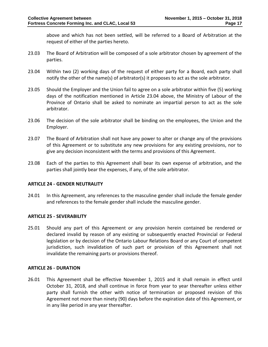above and which has not been settled, will be referred to a Board of Arbitration at the request of either of the parties hereto.

- 23.03 The Board of Arbitration will be composed of a sole arbitrator chosen by agreement of the parties.
- 23.04 Within two (2) working days of the request of either party for a Board, each party shall notify the other of the name(s) of arbitrator(s) it proposes to act as the sole arbitrator.
- 23.05 Should the Employer and the Union fail to agree on a sole arbitrator within five (5) working days of the notification mentioned in Article 23.04 above, the Ministry of Labour of the Province of Ontario shall be asked to nominate an impartial person to act as the sole arbitrator.
- 23.06 The decision of the sole arbitrator shall be binding on the employees, the Union and the Employer.
- 23.07 The Board of Arbitration shall not have any power to alter or change any of the provisions of this Agreement or to substitute any new provisions for any existing provisions, nor to give any decision inconsistent with the terms and provisions of this Agreement.
- 23.08 Each of the parties to this Agreement shall bear its own expense of arbitration, and the parties shall jointly bear the expenses, if any, of the sole arbitrator.

# <span id="page-18-0"></span>**ARTICLE 24 - GENDER NEUTRALITY**

24.01 In this Agreement, any references to the masculine gender shall include the female gender and references to the female gender shall include the masculine gender.

# <span id="page-18-1"></span>**ARTICLE 25 - SEVERABILITY**

25.01 Should any part of this Agreement or any provision herein contained be rendered or declared invalid by reason of any existing or subsequently enacted Provincial or Federal legislation or by decision of the Ontario Labour Relations Board or any Court of competent jurisdiction, such invalidation of such part or provision of this Agreement shall not invalidate the remaining parts or provisions thereof.

# <span id="page-18-2"></span>**ARTICLE 26 - DURATION**

26.01 This Agreement shall be effective November 1, 2015 and it shall remain in effect until October 31, 2018, and shall continue in force from year to year thereafter unless either party shall furnish the other with notice of termination or proposed revision of this Agreement not more than ninety (90) days before the expiration date of this Agreement, or in any like period in any year thereafter.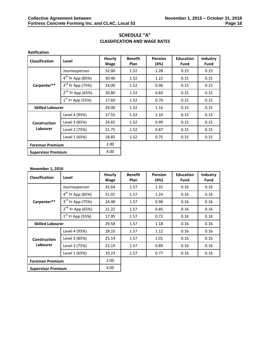# **SCHEDULE "A" CLASSIFICATION AND WAGE RATES**

<span id="page-19-0"></span>

| <b>Ratification</b>       |                       |                              |                               |                        |                          |                                |
|---------------------------|-----------------------|------------------------------|-------------------------------|------------------------|--------------------------|--------------------------------|
| <b>Classification</b>     | Level                 | <b>Hourly</b><br><b>Wage</b> | <b>Benefit</b><br><b>Plan</b> | <b>Pension</b><br>(4%) | <b>Education</b><br>Fund | <b>Industry</b><br><b>Fund</b> |
|                           | Journeyperson         | 32.00                        | 1.52                          | 1.28                   | 0.15                     | 0.15                           |
|                           | $4^{th}$ Yr App (85%) | 30.40                        | 1.52                          | 1.22                   | 0.15                     | 0.15                           |
| Carpenter**               | $3^{rd}$ Yr App (75%) | 24.00                        | 1.52                          | 0.96                   | 0.15                     | 0.15                           |
|                           | $2^{nd}$ Yr App (65%) | 20.80                        | 1.52                          | 0.83                   | 0.15                     | 0.15                           |
|                           | $1^{st}$ Yr App (55%) | 17.60                        | 1.52                          | 0.70                   | 0.15                     | 0.15                           |
| <b>Skilled Labourer</b>   |                       | 29.00                        | 1.52                          | 1.16                   | 0.15                     | 0.15                           |
| Construction<br>Labourer  | Level 4 (95%)         | 27.55                        | 1.52                          | 1.10                   | 0.15                     | 0.15                           |
|                           | Level 3 (85%)         | 24.65                        | 1.52                          | 0.99                   | 0.15                     | 0.15                           |
|                           | Level 2 (75%)         | 21.75                        | 1.52                          | 0.87                   | 0.15                     | 0.15                           |
|                           | Level 1 (65%)         | 18.85                        | 1.52                          | 0.75                   | 0.15                     | 0.15                           |
| <b>Foreman Premium</b>    |                       | 2.00                         |                               |                        |                          |                                |
| <b>Supervisor Premium</b> |                       | 4.00                         |                               |                        |                          |                                |

#### **November 1, 2016**

| <b>Classification</b>           | Level                 | Hourly<br><b>Wage</b> | <b>Benefit</b><br><b>Plan</b> | <b>Pension</b><br>(4%) | <b>Education</b><br>Fund | Industry<br>Fund |
|---------------------------------|-----------------------|-----------------------|-------------------------------|------------------------|--------------------------|------------------|
|                                 | Journeyperson         | 32.64                 | 1.57                          | 1.31                   | 0.16                     | 0.16             |
|                                 | $4^{th}$ Yr App (85%) | 31.01                 | 1.57                          | 1.24                   | 0.16                     | 0.16             |
| Carpenter**                     | $3^{rd}$ Yr App (75%) | 24.48                 | 1.57                          | 0.98                   | 0.16                     | 0.16             |
|                                 | $2^{nd}$ Yr App (65%) | 21.22                 | 1.57                          | 0.85                   | 0.16                     | 0.16             |
|                                 | $1st$ Yr App (55%)    | 17.95                 | 1.57                          | 0.72                   | 0.16                     | 0.16             |
| <b>Skilled Labourer</b>         |                       | 29.58                 | 1.57                          | 1.18                   | 0.16                     | 0.16             |
| <b>Construction</b><br>Labourer | Level 4 (95%)         | 28.10                 | 1.57                          | 1.12                   | 0.16                     | 0.16             |
|                                 | Level 3 (85%)         | 25.14                 | 1.57                          | 1.01                   | 0.16                     | 0.16             |
|                                 | Level 2 (75%)         | 22.19                 | 1.57                          | 0.89                   | 0.16                     | 0.16             |
|                                 | Level 1 (65%)         | 19.23                 | 1.57                          | 0.77                   | 0.16                     | 0.16             |
| <b>Foreman Premium</b>          |                       | 2.00                  |                               |                        |                          |                  |
| <b>Supervisor Premium</b>       |                       | 4.00                  |                               |                        |                          |                  |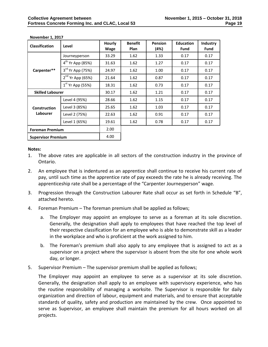| <b>Classification</b>     | Level                 | Hourly<br><b>Wage</b> | <b>Benefit</b><br><b>Plan</b> | Pension<br>(4%) | <b>Education</b><br>Fund | <b>Industry</b><br><b>Fund</b> |
|---------------------------|-----------------------|-----------------------|-------------------------------|-----------------|--------------------------|--------------------------------|
|                           | Journeyperson         | 33.29                 | 1.62                          | 1.33            | 0.17                     | 0.17                           |
|                           | $4^{th}$ Yr App (85%) | 31.63                 | 1.62                          | 1.27            | 0.17                     | 0.17                           |
| Carpenter**               | $3^{rd}$ Yr App (75%) | 24.97                 | 1.62                          | 1.00            | 0.17                     | 0.17                           |
|                           | $2^{nd}$ Yr App (65%) | 21.64                 | 1.62                          | 0.87            | 0.17                     | 0.17                           |
|                           | $1^{st}$ Yr App (55%) | 18.31                 | 1.62                          | 0.73            | 0.17                     | 0.17                           |
| <b>Skilled Labourer</b>   |                       | 30.17                 | 1.62                          | 1.21            | 0.17                     | 0.17                           |
| Construction<br>Labourer  | Level 4 (95%)         | 28.66                 | 1.62                          | 1.15            | 0.17                     | 0.17                           |
|                           | Level 3 (85%)         | 25.65                 | 1.62                          | 1.03            | 0.17                     | 0.17                           |
|                           | Level 2 (75%)         | 22.63                 | 1.62                          | 0.91            | 0.17                     | 0.17                           |
|                           | Level 1 (65%)         | 19.61                 | 1.62                          | 0.78            | 0.17                     | 0.17                           |
| <b>Foreman Premium</b>    |                       | 2.00                  |                               |                 |                          |                                |
| <b>Supervisor Premium</b> |                       | 4.00                  |                               |                 |                          |                                |

**November 1, 2017**

#### **Notes:**

- 1. The above rates are applicable in all sectors of the construction industry in the province of Ontario.
- 2. An employee that is indentured as an apprentice shall continue to receive his current rate of pay, until such time as the apprentice rate of pay exceeds the rate he is already receiving. The apprenticeship rate shall be a percentage of the "Carpenter Journeyperson" wage.
- 3. Progression through the Construction Labourer Rate shall occur as set forth in Schedule "B", attached hereto.
- 4. Foreman Premium The foreman premium shall be applied as follows;
	- a. The Employer may appoint an employee to serve as a foreman at its sole discretion. Generally, the designation shall apply to employees that have reached the top level of their respective classification for an employee who is able to demonstrate skill as a leader in the workplace and who is proficient at the work assigned to him.
	- b. The Foreman's premium shall also apply to any employee that is assigned to act as a supervisor on a project where the supervisor is absent from the site for one whole work day, or longer.
- 5. Supervisor Premium The supervisor premium shall be applied as follows;

The Employer may appoint an employee to serve as a supervisor at its sole discretion. Generally, the designation shall apply to an employee with supervisory experience, who has the routine responsibility of managing a worksite. The Supervisor is responsible for daily organization and direction of labour, equipment and materials, and to ensure that acceptable standards of quality, safety and production are maintained by the crew. Once appointed to serve as Supervisor, an employee shall maintain the premium for all hours worked on all projects.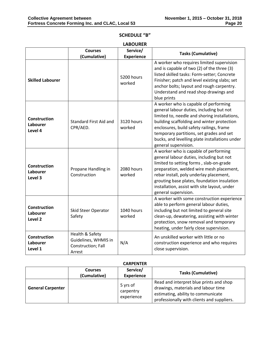# **SCHEDULE "B"**

#### **LABOURER**

<span id="page-21-0"></span>

|                                                       | <b>Courses</b>                                                          | Service/             | <b>Tasks (Cumulative)</b>                                                                                                                                                                                                                                                                                                                          |
|-------------------------------------------------------|-------------------------------------------------------------------------|----------------------|----------------------------------------------------------------------------------------------------------------------------------------------------------------------------------------------------------------------------------------------------------------------------------------------------------------------------------------------------|
|                                                       | (Cumulative)                                                            | <b>Experience</b>    |                                                                                                                                                                                                                                                                                                                                                    |
| <b>Skilled Labourer</b>                               |                                                                         | 5200 hours<br>worked | A worker who requires limited supervision<br>and is capable of two (2) of the three (3)<br>listed skilled tasks: Form-setter; Concrete<br>Finisher; patch and level existing slabs; set<br>anchor bolts; layout and rough carpentry.<br>Understand and read shop drawings and<br>blue prints                                                       |
| <b>Construction</b><br>Labourer<br>Level 4            | <b>Standard First Aid and</b><br>CPR/AED.                               | 3120 hours<br>worked | A worker who is capable of performing<br>general labour duties, including but not<br>limited to, needle and shoring installations,<br>building scaffolding and winter protection<br>enclosures, build safety railings, frame<br>temporary partitions, set grades and set<br>bucks, and levelling plate installations under<br>general supervision. |
| <b>Construction</b><br>Labourer<br>Level 3            | Propane Handling in<br>Construction                                     | 2080 hours<br>worked | A worker who is capable of performing<br>general labour duties, including but not<br>limited to setting forms, slab-on-grade<br>preparation, welded wire mesh placement,<br>rebar install, poly underlay placement,<br>grouting base plates, foundation insulation<br>installation, assist with site layout, under<br>general supervision.         |
| <b>Construction</b><br>Labourer<br>Level <sub>2</sub> | <b>Skid Steer Operator</b><br>Safety                                    | 1040 hours<br>worked | A worker with some construction experience<br>able to perform general labour duties,<br>including but not limited to general site<br>clean-up, dewatering, assisting with winter<br>protection, snow removal and temporary<br>heating, under fairly close supervision.                                                                             |
| <b>Construction</b><br>Labourer<br>Level 1            | Health & Safety<br>Guidelines, WHMIS in<br>Construction; Fall<br>Arrest | N/A                  | An unskilled worker with little or no<br>construction experience and who requires<br>close supervision.                                                                                                                                                                                                                                            |

#### **CARPENTER**

|                          | <b>Courses</b><br>(Cumulative) | Service/<br><b>Experience</b>       | <b>Tasks (Cumulative)</b>                                                                                                                                          |
|--------------------------|--------------------------------|-------------------------------------|--------------------------------------------------------------------------------------------------------------------------------------------------------------------|
| <b>General Carpenter</b> |                                | 5 yrs of<br>carpentry<br>experience | Read and interpret blue prints and shop<br>drawings, materials and labour time<br>estimating, ability to communicate<br>professionally with clients and suppliers. |